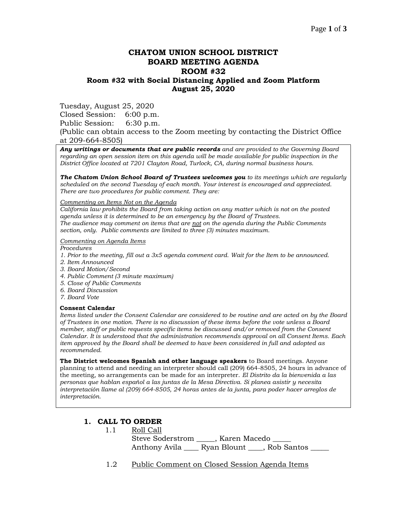# **CHATOM UNION SCHOOL DISTRICT BOARD MEETING AGENDA ROOM #32 Room #32 with Social Distancing Applied and Zoom Platform August 25, 2020**

Tuesday, August 25, 2020

Closed Session: 6:00 p.m.

Public Session: 6:30 p.m.

(Public can obtain access to the Zoom meeting by contacting the District Office at 209-664-8505)

*Any writings or documents that are public records and are provided to the Governing Board regarding an open session item on this agenda will be made available for public inspection in the District Office located at 7201 Clayton Road, Turlock, CA, during normal business hours.*

*The Chatom Union School Board of Trustees welcomes you to its meetings which are regularly scheduled on the second Tuesday of each month. Your interest is encouraged and appreciated. There are two procedures for public comment. They are:*

*Commenting on Items Not on the Agenda*

*California law prohibits the Board from taking action on any matter which is not on the posted agenda unless it is determined to be an emergency by the Board of Trustees. The audience may comment on items that are not on the agenda during the Public Comments section, only. Public comments are limited to three (3) minutes maximum.*

*Commenting on Agenda Items*

*Procedures* 

- *1. Prior to the meeting, fill out a 3x5 agenda comment card. Wait for the Item to be announced.*
- *2. Item Announced*
- *3. Board Motion/Second*
- *4. Public Comment (3 minute maximum)*
- *5. Close of Public Comments*
- *6. Board Discussion*
- *7. Board Vote*

#### **Consent Calendar**

*Items listed under the Consent Calendar are considered to be routine and are acted on by the Board of Trustees in one motion. There is no discussion of these items before the vote unless a Board member, staff or public requests specific items be discussed and/or removed from the Consent Calendar. It is understood that the administration recommends approval on all Consent Items. Each item approved by the Board shall be deemed to have been considered in full and adopted as recommended.*

**The District welcomes Spanish and other language speakers** to Board meetings. Anyone planning to attend and needing an interpreter should call (209) 664-8505, 24 hours in advance of the meeting, so arrangements can be made for an interpreter. *El Distrito da la bienvenida a las personas que hablan español a las juntas de la Mesa Directiva. Si planea asistir y necesita interpretación llame al (209) 664-8505, 24 horas antes de la junta, para poder hacer arreglos de interpretación.*

#### **1. CALL TO ORDER**

1.1 Roll Call

Steve Soderstrom \_\_\_\_\_, Karen Macedo \_ Anthony Avila \_\_\_\_\_ Ryan Blount \_\_\_\_, Rob Santos \_\_\_\_\_

1.2 Public Comment on Closed Session Agenda Items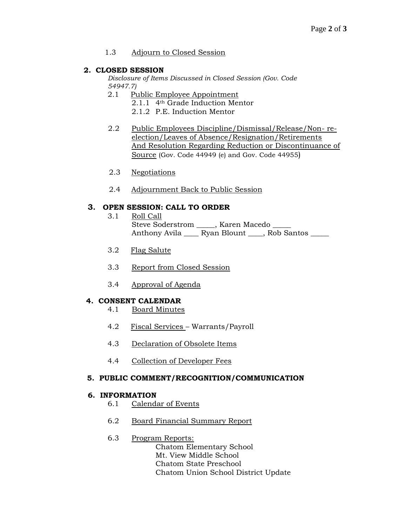### 1.3 Adjourn to Closed Session

### **2. CLOSED SESSION**

*Disclosure of Items Discussed in Closed Session (Gov. Code 54947.7)*

- 2.1 Public Employee Appointment
	- 2.1.1 4th Grade Induction Mentor
	- 2.1.2 P.E. Induction Mentor
- 2.2 Public Employees Discipline/Dismissal/Release/Non- reelection/Leaves of Absence/Resignation/Retirements And Resolution Regarding Reduction or Discontinuance of Source (Gov. Code 44949 (e) and Gov. Code 44955)
- 2.3 Negotiations
- 2.4 Adjournment Back to Public Session

# **3. OPEN SESSION: CALL TO ORDER**

- 3.1 Roll Call Steve Soderstrom \_\_\_\_\_, Karen Macedo \_ Anthony Avila \_\_\_\_ Ryan Blount \_\_\_\_, Rob Santos \_\_\_\_
- 3.2 Flag Salute
- 3.3 Report from Closed Session
- 3.4 Approval of Agenda

# **4. CONSENT CALENDAR**

- 4.1 Board Minutes
- 4.2 Fiscal Services Warrants/Payroll
- 4.3 Declaration of Obsolete Items
- 4.4 Collection of Developer Fees

#### **5. PUBLIC COMMENT/RECOGNITION/COMMUNICATION**

#### **6. INFORMATION**

- 6.1 Calendar of Events
- 6.2 Board Financial Summary Report
- 6.3 Program Reports:
	- Chatom Elementary School Mt. View Middle School Chatom State Preschool Chatom Union School District Update